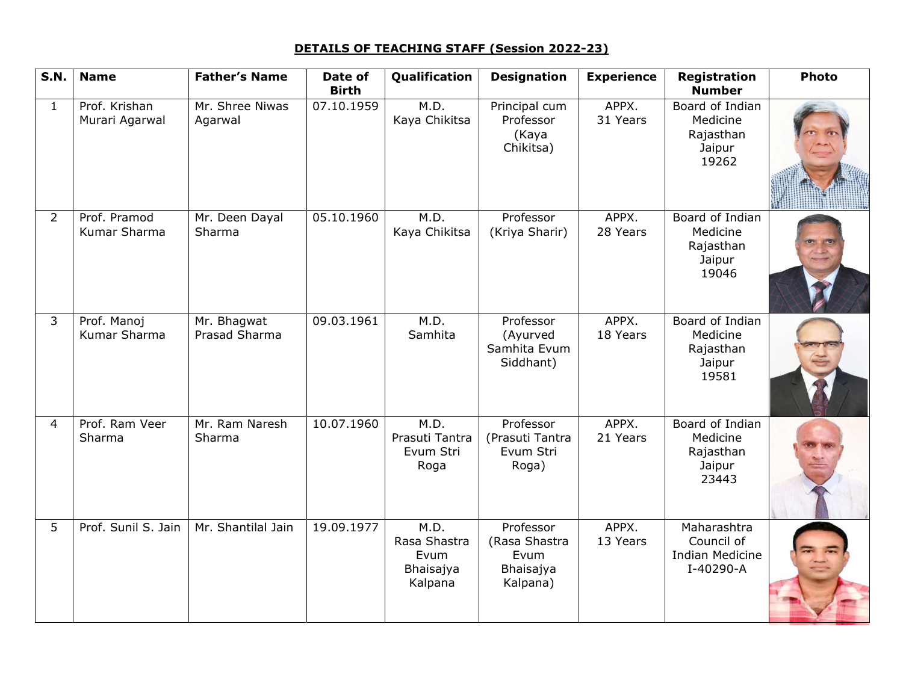## **DETAILS OF TEACHING STAFF (Session 2022-23)**

| <b>S.N.</b>    | <b>Name</b>                     | <b>Father's Name</b>         | Date of<br><b>Birth</b> | Qualification                                        | <b>Designation</b>                                          | <b>Experience</b> | Registration<br><b>Number</b>                                    | <b>Photo</b> |
|----------------|---------------------------------|------------------------------|-------------------------|------------------------------------------------------|-------------------------------------------------------------|-------------------|------------------------------------------------------------------|--------------|
| $\mathbf{1}$   | Prof. Krishan<br>Murari Agarwal | Mr. Shree Niwas<br>Agarwal   | 07.10.1959              | M.D.<br>Kaya Chikitsa                                | Principal cum<br>Professor<br>(Kaya<br>Chikitsa)            | APPX.<br>31 Years | Board of Indian<br>Medicine<br>Rajasthan<br>Jaipur<br>19262      |              |
| $\overline{2}$ | Prof. Pramod<br>Kumar Sharma    | Mr. Deen Dayal<br>Sharma     | 05.10.1960              | M.D.<br>Kaya Chikitsa                                | Professor<br>(Kriya Sharir)                                 | APPX.<br>28 Years | Board of Indian<br>Medicine<br>Rajasthan<br>Jaipur<br>19046      |              |
| $\mathbf{3}$   | Prof. Manoj<br>Kumar Sharma     | Mr. Bhagwat<br>Prasad Sharma | 09.03.1961              | M.D.<br>Samhita                                      | Professor<br>(Ayurved<br>Samhita Evum<br>Siddhant)          | APPX.<br>18 Years | Board of Indian<br>Medicine<br>Rajasthan<br>Jaipur<br>19581      |              |
| $\overline{4}$ | Prof. Ram Veer<br>Sharma        | Mr. Ram Naresh<br>Sharma     | 10.07.1960              | M.D.<br>Prasuti Tantra<br>Evum Stri<br>Roga          | Professor<br>(Prasuti Tantra<br>Evum Stri<br>Roga)          | APPX.<br>21 Years | Board of Indian<br>Medicine<br>Rajasthan<br>Jaipur<br>23443      |              |
| 5              | Prof. Sunil S. Jain             | Mr. Shantilal Jain           | 19.09.1977              | M.D.<br>Rasa Shastra<br>Evum<br>Bhaisajya<br>Kalpana | Professor<br>(Rasa Shastra<br>Evum<br>Bhaisajya<br>Kalpana) | APPX.<br>13 Years | Maharashtra<br>Council of<br><b>Indian Medicine</b><br>I-40290-A |              |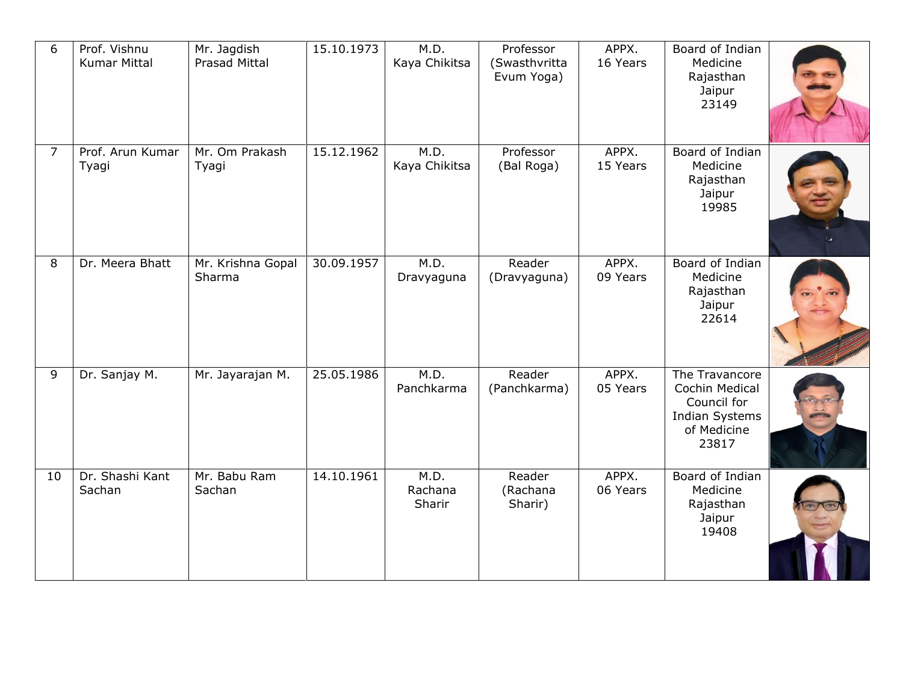| 6              | Prof. Vishnu<br><b>Kumar Mittal</b> | Mr. Jagdish<br>Prasad Mittal | 15.10.1973 | M.D.<br>Kaya Chikitsa     | Professor<br>(Swasthvritta<br>Evum Yoga) | APPX.<br>16 Years | Board of Indian<br>Medicine<br>Rajasthan<br>Jaipur<br>23149                                      |  |
|----------------|-------------------------------------|------------------------------|------------|---------------------------|------------------------------------------|-------------------|--------------------------------------------------------------------------------------------------|--|
| $\overline{7}$ | Prof. Arun Kumar<br>Tyagi           | Mr. Om Prakash<br>Tyagi      | 15.12.1962 | M.D.<br>Kaya Chikitsa     | Professor<br>(Bal Roga)                  | APPX.<br>15 Years | Board of Indian<br>Medicine<br>Rajasthan<br>Jaipur<br>19985                                      |  |
| 8              | Dr. Meera Bhatt                     | Mr. Krishna Gopal<br>Sharma  | 30.09.1957 | M.D.<br>Dravyaguna        | Reader<br>(Dravyaguna)                   | APPX.<br>09 Years | Board of Indian<br>Medicine<br>Rajasthan<br>Jaipur<br>22614                                      |  |
| 9              | Dr. Sanjay M.                       | Mr. Jayarajan M.             | 25.05.1986 | M.D.<br>Panchkarma        | Reader<br>(Panchkarma)                   | APPX.<br>05 Years | The Travancore<br>Cochin Medical<br>Council for<br><b>Indian Systems</b><br>of Medicine<br>23817 |  |
| 10             | Dr. Shashi Kant<br>Sachan           | Mr. Babu Ram<br>Sachan       | 14.10.1961 | M.D.<br>Rachana<br>Sharir | Reader<br>(Rachana<br>Sharir)            | APPX.<br>06 Years | Board of Indian<br>Medicine<br>Rajasthan<br>Jaipur<br>19408                                      |  |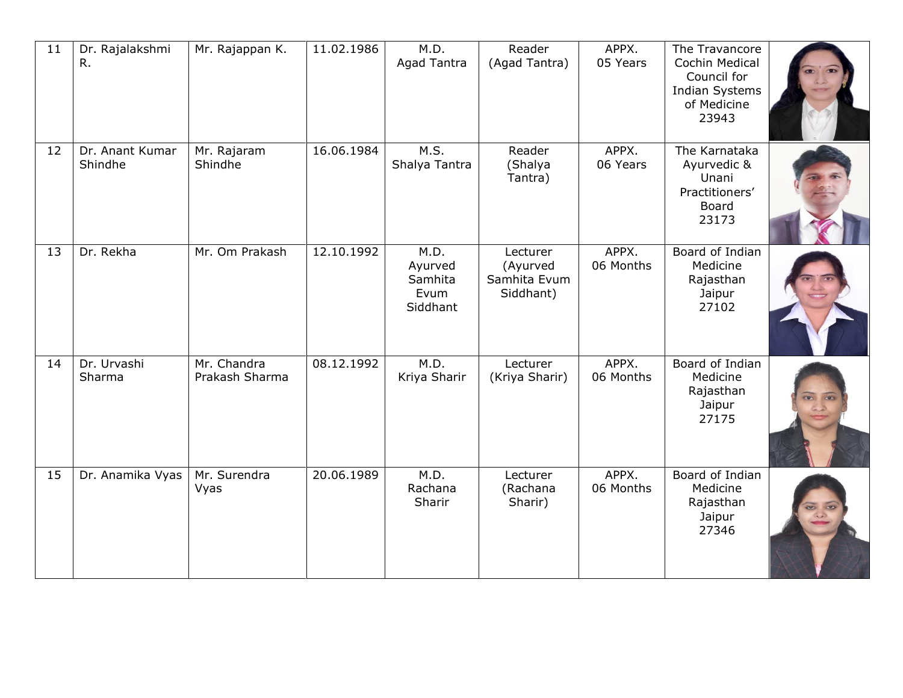| 11 | Dr. Rajalakshmi<br>$R_{\cdot}$ | Mr. Rajappan K.               | 11.02.1986 | M.D.<br><b>Agad Tantra</b>                     | Reader<br>(Agad Tantra)                           | APPX.<br>05 Years  | The Travancore<br>Cochin Medical<br>Council for<br><b>Indian Systems</b><br>of Medicine<br>23943 |  |
|----|--------------------------------|-------------------------------|------------|------------------------------------------------|---------------------------------------------------|--------------------|--------------------------------------------------------------------------------------------------|--|
| 12 | Dr. Anant Kumar<br>Shindhe     | Mr. Rajaram<br>Shindhe        | 16.06.1984 | M.S.<br>Shalya Tantra                          | Reader<br>(Shalya<br>Tantra)                      | APPX.<br>06 Years  | The Karnataka<br>Ayurvedic &<br>Unani<br>Practitioners'<br>Board<br>23173                        |  |
| 13 | Dr. Rekha                      | Mr. Om Prakash                | 12.10.1992 | M.D.<br>Ayurved<br>Samhita<br>Evum<br>Siddhant | Lecturer<br>(Ayurved<br>Samhita Evum<br>Siddhant) | APPX.<br>06 Months | Board of Indian<br>Medicine<br>Rajasthan<br>Jaipur<br>27102                                      |  |
| 14 | Dr. Urvashi<br>Sharma          | Mr. Chandra<br>Prakash Sharma | 08.12.1992 | M.D.<br>Kriya Sharir                           | Lecturer<br>(Kriya Sharir)                        | APPX.<br>06 Months | Board of Indian<br>Medicine<br>Rajasthan<br>Jaipur<br>27175                                      |  |
| 15 | Dr. Anamika Vyas               | Mr. Surendra<br>Vyas          | 20.06.1989 | M.D.<br>Rachana<br>Sharir                      | Lecturer<br>(Rachana<br>Sharir)                   | APPX.<br>06 Months | Board of Indian<br>Medicine<br>Rajasthan<br>Jaipur<br>27346                                      |  |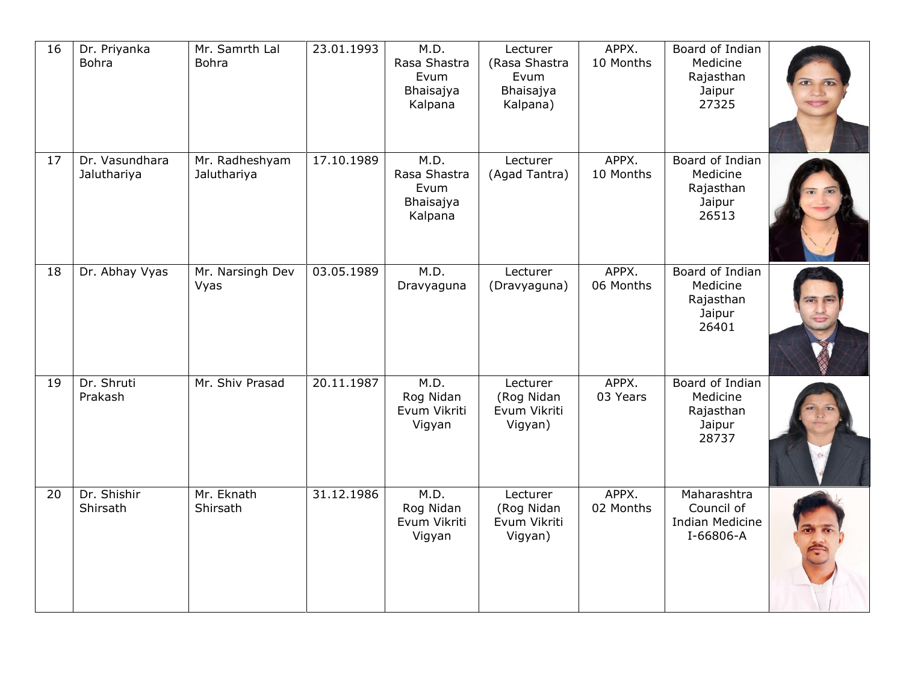| 16 | Dr. Priyanka<br><b>Bohra</b>  | Mr. Samrth Lal<br><b>Bohra</b> | 23.01.1993 | M.D.<br>Rasa Shastra<br>Evum<br>Bhaisajya<br>Kalpana | Lecturer<br>(Rasa Shastra<br>Evum<br>Bhaisajya<br>Kalpana) | APPX.<br>10 Months | Board of Indian<br>Medicine<br>Rajasthan<br>Jaipur<br>27325      |  |
|----|-------------------------------|--------------------------------|------------|------------------------------------------------------|------------------------------------------------------------|--------------------|------------------------------------------------------------------|--|
| 17 | Dr. Vasundhara<br>Jaluthariya | Mr. Radheshyam<br>Jaluthariya  | 17.10.1989 | M.D.<br>Rasa Shastra<br>Evum<br>Bhaisajya<br>Kalpana | Lecturer<br>(Agad Tantra)                                  | APPX.<br>10 Months | Board of Indian<br>Medicine<br>Rajasthan<br>Jaipur<br>26513      |  |
| 18 | Dr. Abhay Vyas                | Mr. Narsingh Dev<br>Vyas       | 03.05.1989 | M.D.<br>Dravyaguna                                   | Lecturer<br>(Dravyaguna)                                   | APPX.<br>06 Months | Board of Indian<br>Medicine<br>Rajasthan<br>Jaipur<br>26401      |  |
| 19 | Dr. Shruti<br>Prakash         | Mr. Shiv Prasad                | 20.11.1987 | M.D.<br>Rog Nidan<br>Evum Vikriti<br>Vigyan          | Lecturer<br>(Rog Nidan<br>Evum Vikriti<br>Vigyan)          | APPX.<br>03 Years  | Board of Indian<br>Medicine<br>Rajasthan<br>Jaipur<br>28737      |  |
| 20 | Dr. Shishir<br>Shirsath       | Mr. Eknath<br>Shirsath         | 31.12.1986 | M.D.<br>Rog Nidan<br>Evum Vikriti<br>Vigyan          | Lecturer<br>(Rog Nidan<br>Evum Vikriti<br>Vigyan)          | APPX.<br>02 Months | Maharashtra<br>Council of<br><b>Indian Medicine</b><br>I-66806-A |  |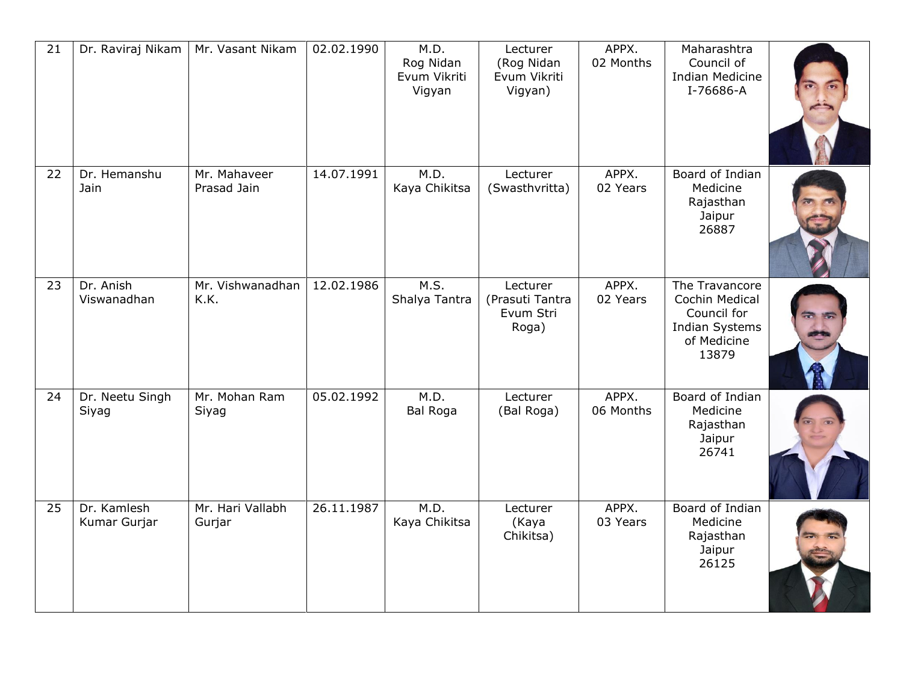| 21 | Dr. Raviraj Nikam           | Mr. Vasant Nikam            | 02.02.1990 | M.D.<br>Rog Nidan<br>Evum Vikriti<br>Vigyan | Lecturer<br>(Rog Nidan<br>Evum Vikriti<br>Vigyan) | APPX.<br>02 Months | Maharashtra<br>Council of<br><b>Indian Medicine</b><br>I-76686-A                                 |  |
|----|-----------------------------|-----------------------------|------------|---------------------------------------------|---------------------------------------------------|--------------------|--------------------------------------------------------------------------------------------------|--|
| 22 | Dr. Hemanshu<br>Jain        | Mr. Mahaveer<br>Prasad Jain | 14.07.1991 | M.D.<br>Kaya Chikitsa                       | Lecturer<br>(Swasthvritta)                        | APPX.<br>02 Years  | Board of Indian<br>Medicine<br>Rajasthan<br>Jaipur<br>26887                                      |  |
| 23 | Dr. Anish<br>Viswanadhan    | Mr. Vishwanadhan<br>K.K.    | 12.02.1986 | M.S.<br>Shalya Tantra                       | Lecturer<br>(Prasuti Tantra<br>Evum Stri<br>Roga) | APPX.<br>02 Years  | The Travancore<br>Cochin Medical<br>Council for<br><b>Indian Systems</b><br>of Medicine<br>13879 |  |
| 24 | Dr. Neetu Singh<br>Siyag    | Mr. Mohan Ram<br>Siyag      | 05.02.1992 | M.D.<br><b>Bal Roga</b>                     | Lecturer<br>(Bal Roga)                            | APPX.<br>06 Months | Board of Indian<br>Medicine<br>Rajasthan<br>Jaipur<br>26741                                      |  |
| 25 | Dr. Kamlesh<br>Kumar Gurjar | Mr. Hari Vallabh<br>Gurjar  | 26.11.1987 | M.D.<br>Kaya Chikitsa                       | Lecturer<br>(Kaya<br>Chikitsa)                    | APPX.<br>03 Years  | Board of Indian<br>Medicine<br>Rajasthan<br>Jaipur<br>26125                                      |  |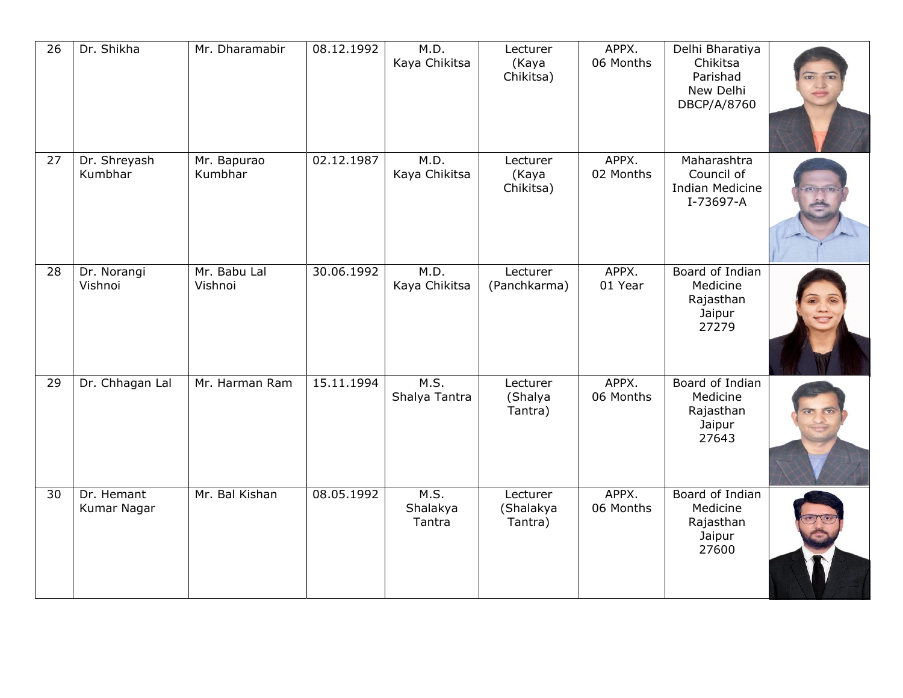| $\overline{26}$ | Dr. Shikha                | Mr. Dharamabir          | 08.12.1992 | M.D.<br>Kaya Chikitsa      | Lecturer<br>(Kaya<br>Chikitsa)   | APPX.<br>06 Months | Delhi Bharatiya<br>Chikitsa<br>Parishad<br>New Delhi<br>DBCP/A/8760 |  |
|-----------------|---------------------------|-------------------------|------------|----------------------------|----------------------------------|--------------------|---------------------------------------------------------------------|--|
| 27              | Dr. Shreyash<br>Kumbhar   | Mr. Bapurao<br>Kumbhar  | 02.12.1987 | M.D.<br>Kaya Chikitsa      | Lecturer<br>(Kaya<br>Chikitsa)   | APPX.<br>02 Months | Maharashtra<br>Council of<br><b>Indian Medicine</b><br>I-73697-A    |  |
| 28              | Dr. Norangi<br>Vishnoi    | Mr. Babu Lal<br>Vishnoi | 30.06.1992 | M.D.<br>Kaya Chikitsa      | Lecturer<br>(Panchkarma)         | APPX.<br>01 Year   | Board of Indian<br>Medicine<br>Rajasthan<br>Jaipur<br>27279         |  |
| 29              | Dr. Chhagan Lal           | Mr. Harman Ram          | 15.11.1994 | M.S.<br>Shalya Tantra      | Lecturer<br>(Shalya<br>Tantra)   | APPX.<br>06 Months | Board of Indian<br>Medicine<br>Rajasthan<br>Jaipur<br>27643         |  |
| 30              | Dr. Hemant<br>Kumar Nagar | Mr. Bal Kishan          | 08.05.1992 | M.S.<br>Shalakya<br>Tantra | Lecturer<br>(Shalakya<br>Tantra) | APPX.<br>06 Months | Board of Indian<br>Medicine<br>Rajasthan<br>Jaipur<br>27600         |  |